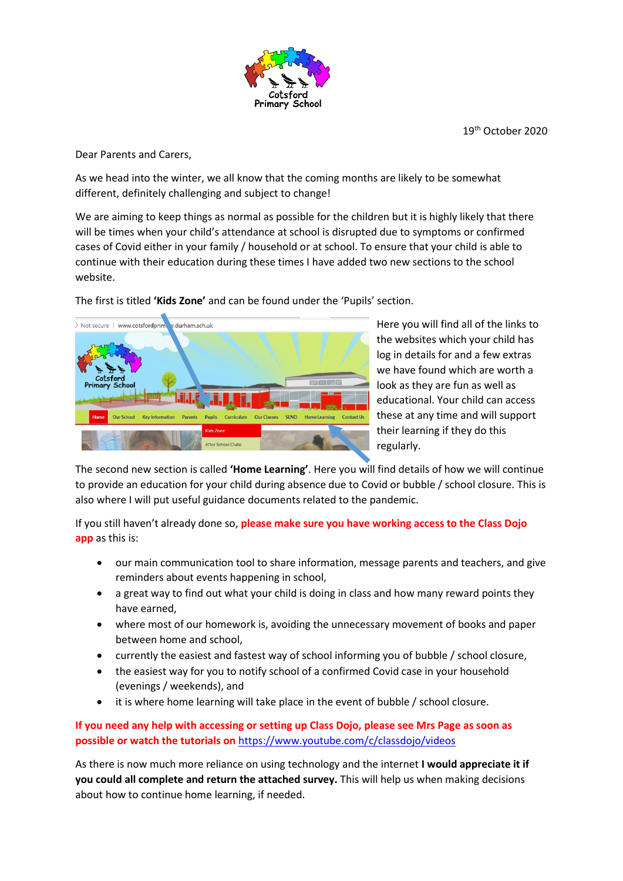

19th October 2020

Dear Parents and Carers,

As we head into the winter, we all know that the coming months are likely to be somewhat different, definitely challenging and subject to change!

We are aiming to keep things as normal as possible for the children but it is highly likely that there will be times when your child's attendance at school is disrupted due to symptoms or confirmed cases of Covid either in your family / household or at school. To ensure that your child is able to continue with their education during these times I have added two new sections to the school website.



The first is titled **'Kids Zone'** and can be found under the 'Pupils' section.

Here you will find all of the links to the websites which your child has log in details for and a few extras we have found which are worth a look as they are fun as well as educational. Your child can access these at any time and will support their learning if they do this regularly.

The second new section is called **'Home Learning'**. Here you will find details of how we will continue to provide an education for your child during absence due to Covid or bubble / school closure. This is also where I will put useful guidance documents related to the pandemic.

If you still haven't already done so, **please make sure you have working access to the Class Dojo app** as this is:

- our main communication tool to share information, message parents and teachers, and give reminders about events happening in school,
- a great way to find out what your child is doing in class and how many reward points they have earned,
- where most of our homework is, avoiding the unnecessary movement of books and paper between home and school,
- currently the easiest and fastest way of school informing you of bubble / school closure,
- the easiest way for you to notify school of a confirmed Covid case in your household (evenings / weekends), and
- it is where home learning will take place in the event of bubble / school closure.

**If you need any help with accessing or setting up Class Dojo, please see Mrs Page as soon as possible or watch the tutorials on** <https://www.youtube.com/c/classdojo/videos>

As there is now much more reliance on using technology and the internet **I would appreciate it if you could all complete and return the attached survey.** This will help us when making decisions about how to continue home learning, if needed.